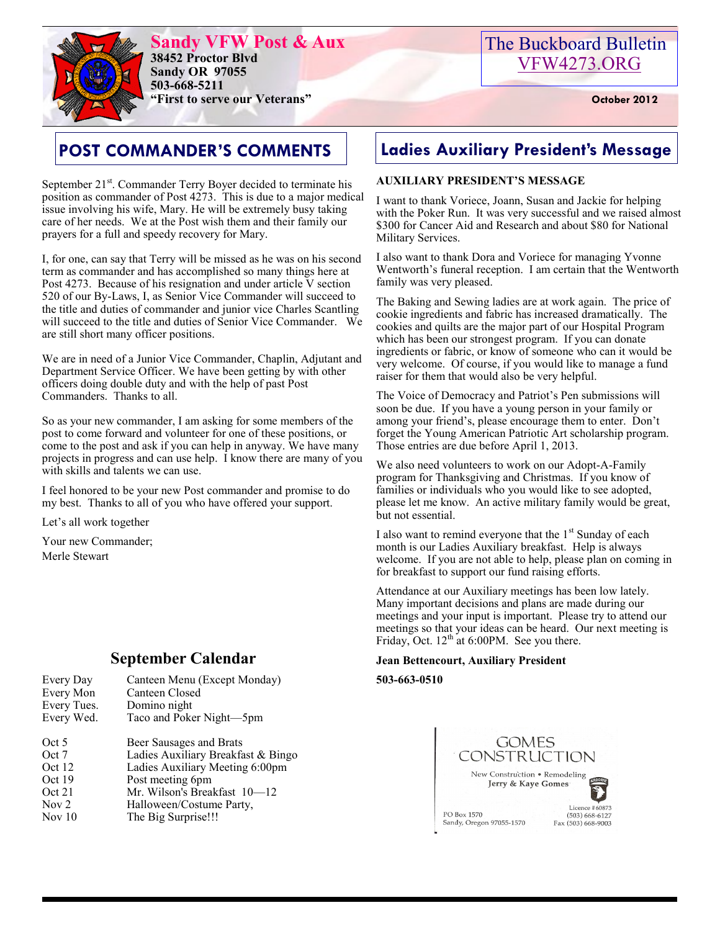

**Sandy VFW Post & Aux 38452 Proctor Blvd Sandy OR 97055 503-668-5211 "First to serve our Veterans" October 2012** 

# The Buckboard Bulletin [VFW4273.ORG](http://vfw4273.org/)

September 21<sup>st</sup>. Commander Terry Boyer decided to terminate his position as commander of Post 4273. This is due to a major medical issue involving his wife, Mary. He will be extremely busy taking care of her needs. We at the Post wish them and their family our prayers for a full and speedy recovery for Mary.

I, for one, can say that Terry will be missed as he was on his second term as commander and has accomplished so many things here at Post 4273. Because of his resignation and under article V section 520 of our By-Laws, I, as Senior Vice Commander will succeed to the title and duties of commander and junior vice Charles Scantling will succeed to the title and duties of Senior Vice Commander. We are still short many officer positions.

We are in need of a Junior Vice Commander, Chaplin, Adjutant and Department Service Officer. We have been getting by with other officers doing double duty and with the help of past Post Commanders. Thanks to all.

So as your new commander, I am asking for some members of the post to come forward and volunteer for one of these positions, or come to the post and ask if you can help in anyway. We have many projects in progress and can use help. I know there are many of you with skills and talents we can use.

I feel honored to be your new Post commander and promise to do my best. Thanks to all of you who have offered your support.

Let's all work together

Your new Commander; Merle Stewart

# **September Calendar**

| Every Day   | Canteen Menu (Except Monday)       |
|-------------|------------------------------------|
| Every Mon   | Canteen Closed                     |
| Every Tues. | Domino night                       |
| Every Wed.  | Taco and Poker Night-5pm           |
| Oct 5       | Beer Sausages and Brats            |
| Oct 7       | Ladies Auxiliary Breakfast & Bingo |
| Oct 12      | Ladies Auxiliary Meeting 6:00pm    |

- Oct 19 Post meeting 6pm Oct 21 Mr. Wilson's Breakfast 10—12
- Nov 2 Halloween/Costume Party,
- Nov 10 The Big Surprise!!!

# **POST COMMANDER'S COMMENTS Ladies Auxiliary President's Message**

#### **AUXILIARY PRESIDENT'S MESSAGE**

I want to thank Voriece, Joann, Susan and Jackie for helping with the Poker Run. It was very successful and we raised almost \$300 for Cancer Aid and Research and about \$80 for National Military Services.

I also want to thank Dora and Voriece for managing Yvonne Wentworth's funeral reception. I am certain that the Wentworth family was very pleased.

The Baking and Sewing ladies are at work again. The price of cookie ingredients and fabric has increased dramatically. The cookies and quilts are the major part of our Hospital Program which has been our strongest program. If you can donate ingredients or fabric, or know of someone who can it would be very welcome. Of course, if you would like to manage a fund raiser for them that would also be very helpful.

The Voice of Democracy and Patriot's Pen submissions will soon be due. If you have a young person in your family or among your friend's, please encourage them to enter. Don't forget the Young American Patriotic Art scholarship program. Those entries are due before April 1, 2013.

We also need volunteers to work on our Adopt-A-Family program for Thanksgiving and Christmas. If you know of families or individuals who you would like to see adopted, please let me know. An active military family would be great, but not essential.

I also want to remind everyone that the  $1<sup>st</sup>$  Sunday of each month is our Ladies Auxiliary breakfast. Help is always welcome. If you are not able to help, please plan on coming in for breakfast to support our fund raising efforts.

Attendance at our Auxiliary meetings has been low lately. Many important decisions and plans are made during our meetings and your input is important. Please try to attend our meetings so that your ideas can be heard. Our next meeting is Friday, Oct.  $12<sup>th</sup>$  at 6:00PM. See you there.

#### **Jean Bettencourt, Auxiliary President**

**503-663-0510**

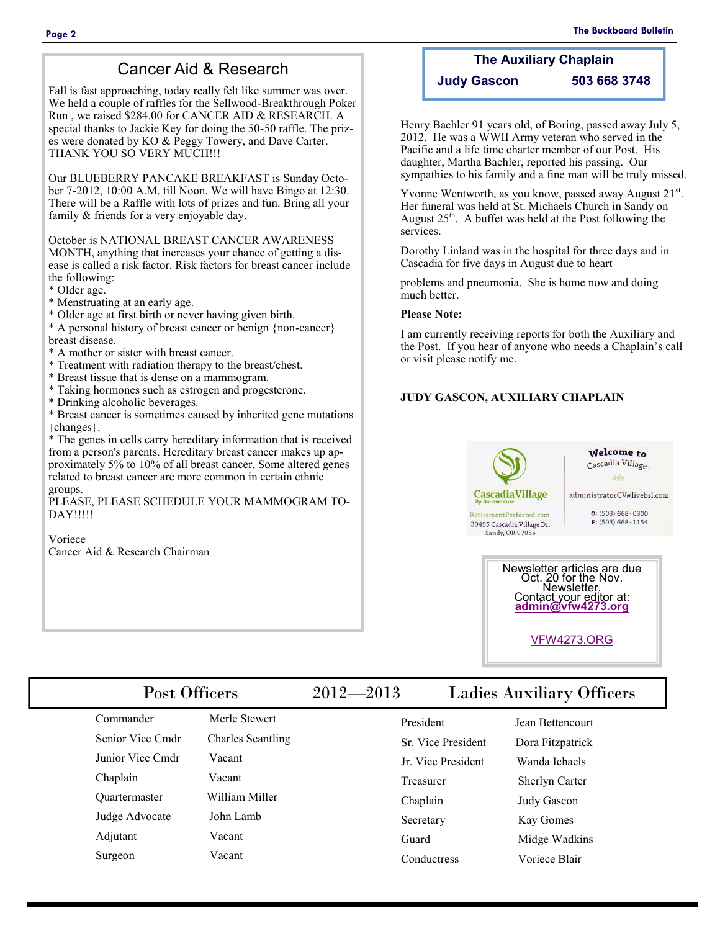### Cancer Aid & Research

Fall is fast approaching, today really felt like summer was over. We held a couple of raffles for the Sellwood-Breakthrough Poker Run , we raised \$284.00 for CANCER AID & RESEARCH. A special thanks to Jackie Key for doing the 50-50 raffle. The prizes were donated by KO & Peggy Towery, and Dave Carter. THANK YOU SO VERY MUCH!!!

Our BLUEBERRY PANCAKE BREAKFAST is Sunday October 7-2012, 10:00 A.M. till Noon. We will have Bingo at 12:30. There will be a Raffle with lots of prizes and fun. Bring all your family & friends for a very enjoyable day.

October is NATIONAL BREAST CANCER AWARENESS MONTH, anything that increases your chance of getting a disease is called a risk factor. Risk factors for breast cancer include the following:

\* Older age.

\* Menstruating at an early age.

\* Older age at first birth or never having given birth.

\* A personal history of breast cancer or benign {non-cancer} breast disease.

- \* A mother or sister with breast cancer.
- \* Treatment with radiation therapy to the breast/chest.
- \* Breast tissue that is dense on a mammogram.
- \* Taking hormones such as estrogen and progesterone.
- \* Drinking alcoholic beverages.

\* Breast cancer is sometimes caused by inherited gene mutations {changes}.

\* The genes in cells carry hereditary information that is received from a person's parents. Hereditary breast cancer makes up approximately 5% to 10% of all breast cancer. Some altered genes related to breast cancer are more common in certain ethnic groups.

PLEASE, PLEASE SCHEDULE YOUR MAMMOGRAM TO-DAY!!!!!

Voriece Cancer Aid & Research Chairman

#### **The Auxiliary Chaplain Judy Gascon 503 668 3748**

Henry Bachler 91 years old, of Boring, passed away July 5, 2012. He was a WWII Army veteran who served in the Pacific and a life time charter member of our Post. His daughter, Martha Bachler, reported his passing. Our sympathies to his family and a fine man will be truly missed.

Yvonne Wentworth, as you know, passed away August 21<sup>st</sup>. Her funeral was held at St. Michaels Church in Sandy on August  $25<sup>th</sup>$ . A buffet was held at the Post following the services.

Dorothy Linland was in the hospital for three days and in Cascadia for five days in August due to heart

problems and pneumonia. She is home now and doing much better.

#### **Please Note:**

I am currently receiving reports for both the Auxiliary and the Post. If you hear of anyone who needs a Chaplain's call or visit please notify me.

#### **JUDY GASCON, AUXILIARY CHAPLAIN**



Contact your editor at: **[admin@vfw4273.org](mailto:admin@vfw4273.org)**

[VFW4273.ORG](http://vfw4273.org/)

| Post Officers        |                          | $2012 - 2013$ |                    | <b>Ladies Auxiliary Officers</b> |  |
|----------------------|--------------------------|---------------|--------------------|----------------------------------|--|
| Commander            | Merle Stewert            |               | President          | Jean Bettencourt                 |  |
| Senior Vice Cmdr     | <b>Charles Scantling</b> |               | Sr. Vice President | Dora Fitzpatrick                 |  |
| Junior Vice Cmdr     | Vacant                   |               | Jr. Vice President | Wanda Ichaels                    |  |
| Chaplain             | Vacant                   |               | <b>Treasurer</b>   | Sherlyn Carter                   |  |
| <b>Ouartermaster</b> | William Miller           |               | Chaplain           | Judy Gascon                      |  |
| Judge Advocate       | John Lamb                |               | Secretary          | Kay Gomes                        |  |
| Adjutant             | Vacant                   |               | Guard              | Midge Wadkins                    |  |
| Surgeon              | Vacant                   |               | Conductress        | Voriece Blair                    |  |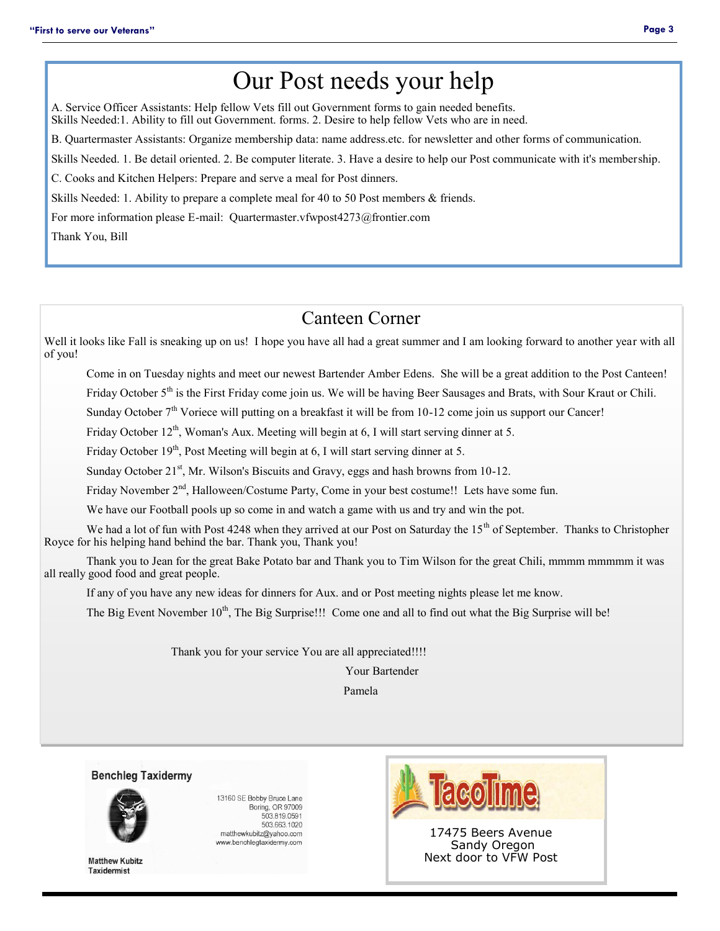# Our Post needs your help

A. Service Officer Assistants: Help fellow Vets fill out Government forms to gain needed benefits. Skills Needed:1. Ability to fill out Government. forms. 2. Desire to help fellow Vets who are in need.

B. Quartermaster Assistants: Organize membership data: name address.etc. for newsletter and other forms of communication.

Skills Needed. 1. Be detail oriented. 2. Be computer literate. 3. Have a desire to help our Post communicate with it's membership.

C. Cooks and Kitchen Helpers: Prepare and serve a meal for Post dinners.

Skills Needed: 1. Ability to prepare a complete meal for 40 to 50 Post members & friends.

For more information please E-mail: Quartermaster.vfwpost4273@frontier.com

Thank You, Bill

## Canteen Corner

Well it looks like Fall is sneaking up on us! I hope you have all had a great summer and I am looking forward to another year with all of you!

Come in on Tuesday nights and meet our newest Bartender Amber Edens. She will be a great addition to the Post Canteen!

Friday October 5<sup>th</sup> is the First Friday come join us. We will be having Beer Sausages and Brats, with Sour Kraut or Chili.

Sunday October 7<sup>th</sup> Voriece will putting on a breakfast it will be from 10-12 come join us support our Cancer!

Friday October  $12<sup>th</sup>$ , Woman's Aux. Meeting will begin at 6, I will start serving dinner at 5.

Friday October  $19<sup>th</sup>$ , Post Meeting will begin at 6, I will start serving dinner at 5.

Sunday October  $21<sup>st</sup>$ , Mr. Wilson's Biscuits and Gravy, eggs and hash browns from 10-12.

Friday November  $2<sup>nd</sup>$ , Halloween/Costume Party, Come in your best costume!! Lets have some fun.

We have our Football pools up so come in and watch a game with us and try and win the pot.

We had a lot of fun with Post 4248 when they arrived at our Post on Saturday the 15<sup>th</sup> of September. Thanks to Christopher Royce for his helping hand behind the bar. Thank you, Thank you!

Thank you to Jean for the great Bake Potato bar and Thank you to Tim Wilson for the great Chili, mmmm mmmmm it was all really good food and great people.

If any of you have any new ideas for dinners for Aux. and or Post meeting nights please let me know.

The Big Event November 10<sup>th</sup>, The Big Surprise!!! Come one and all to find out what the Big Surprise will be!

Thank you for your service You are all appreciated!!!!

Your Bartender

Pamela

**Benchleg Taxidermy** 



**Matthew Kubitz Taxidermist** 

13160 SE Bobby Bruce Lane Boring, OR 97009 503.819.0591 503.663.1020 matthewkubitz@yahoo.com www.benchlegtaxidermy.com



17475 Beers Avenue Sandy Oregon Next door to VFW Post